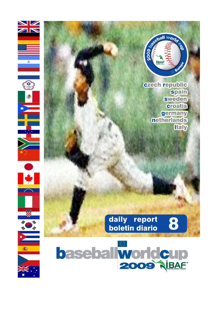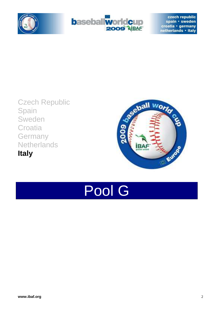









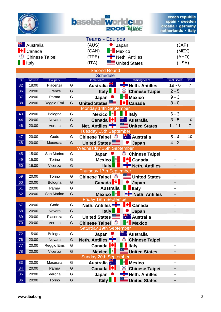| <b>Ort</b> er |
|---------------|
|               |
|               |
|               |

# **baseballworldcup**

|    |                               |                 |   | <b>Teams - Equipos</b>              |                                          |                    |                |
|----|-------------------------------|-----------------|---|-------------------------------------|------------------------------------------|--------------------|----------------|
|    | <b>Australia</b><br>Australia |                 |   | (AUS)                               | Japan                                    | (JAP)              |                |
|    | Canada                        |                 |   | $\left\  \bullet \right\ $<br>(CAN) | Mexico                                   | (MEX)              |                |
|    | <b>Chinese Taipei</b>         |                 |   | (TPE)                               | Neth. Antilles                           | (AHO)              |                |
|    | Italy                         |                 |   | (ITA)                               | <b>United States</b>                     | (USA)              |                |
|    |                               |                 |   | <b>Second Round</b>                 |                                          |                    |                |
|    |                               |                 |   | <b>Schedule</b>                     |                                          |                    |                |
| G  | At time                       | <b>Ballpark</b> | P | Home team                           | <b>Visiting team</b>                     | <b>Final Score</b> | Inn            |
| 32 | 18:00                         | Piacenza        | G | <b>Australia</b> <sup>77</sup>      | <b>Neth. Antilles</b>                    | $19 - 6$           | $\overline{7}$ |
| 36 | 20:00                         | Firenze         | G | <b>Italy</b>                        | ☺<br><b>Chinese Taipei</b>               | $2 - 5$            |                |
| 37 | 20:00                         | Parma           | G | Japan                               | <b>Mexico</b>                            | $9 - 3$            |                |
| 38 | 20:00                         | Reggio Emi.     | G | <b>United States</b>                | <b>Canada</b>                            | $8 - 0$            |                |
|    |                               |                 |   | Monday 14th September               |                                          |                    |                |
| 43 | 20:00                         | Bologna         | G | Mexico <sup>1</sup>                 | <b>I</b> taly                            | $6 - 3$            |                |
| 44 | 20:00                         | Novara          | G | Canada <sup>1</sup>                 | <b>Australia</b>                         | $3 - 5$            | 10             |
| 46 | 20:00                         | Verona          | G | Net. Antilles                       | <b>United States</b>                     | $1 - 11$           | $\overline{7}$ |
|    |                               |                 |   | <b>Tuesday 15th September</b>       |                                          |                    |                |
| 47 | 20:00                         | Godo            | G | ☺<br><b>Chinese Taipei</b>          | <b>XXX</b> Australia                     | $5 - 4$            | 10             |
| 48 | 20:00                         | Macerata        | G | United States                       | Japan                                    | $4 - 2$            |                |
|    |                               |                 |   | <b>Wednesday 16th September</b>     |                                          |                    |                |
| 45 | 15:00                         | San Marino      | G | Japan                               | ☺<br><b>Chinese Taipei</b>               |                    |                |
| 49 | 15:00                         | Torino          | G | <b>B</b><br><b>Mexico</b>           | <b>I<sup>V</sup></b> Canada              |                    |                |
| 50 | 16:00                         | Vicenza         | G | Italy                               | <b>Neth. Antilles</b>                    |                    |                |
|    |                               |                 |   | Thursday 17th September             |                                          |                    |                |
| 59 | 20:00                         | Torino          | G | <b>Chinese Taipei</b> <sup>2</sup>  | <b>United States</b>                     |                    |                |
| 60 | 20:00                         | Bologna         | G | Canada <sup>  ↓</sup>               | Japan                                    |                    |                |
| 61 | 20:00                         | Parma           | G | <b>Australia</b>                    | <b>Italy</b>                             |                    |                |
| 62 | 20:00                         | San Marino      | G | $\bullet$<br><b>Mexico</b>          | <b>Neth. Antilles</b>                    |                    |                |
|    |                               |                 |   | <b>Friday 18th September</b>        |                                          |                    |                |
| 67 | 20:00                         | Godo            | G | Neth. Antilles                      | Canada                                   |                    |                |
| 68 | 20:00                         | Novara          | G | <b>Italy</b>                        | Japan                                    |                    |                |
| 69 | 20:00                         | Piacenza        | G | <b>United States</b>                | $\frac{1}{\sqrt{2}}$<br><b>Australia</b> |                    |                |
| 70 | 20:00                         | Verona          | G | <b>Chinese Taipei</b> <sup>2</sup>  | <b>Mexico</b>                            |                    |                |
|    |                               |                 |   | Saturday 19th September             |                                          |                    |                |
| 72 | 15:00                         | Bologna         | G | Japan                               | <b>XXX</b> Australia                     |                    |                |
| 76 | 20:00                         | Novara          | G | Neth. Antilles                      | ☺<br><b>Chinese Taipei</b>               |                    |                |
| 77 | 20:00                         | Reggio Emi.     | G | K.<br>Canada                        | <b>Italy</b>                             |                    |                |
| 78 | 20:00                         | Vicenza         | G | <b>Mexico</b>                       | <b>United States</b>                     |                    |                |
|    |                               |                 |   | <b>Sunday 20th September</b>        |                                          |                    |                |
| 83 | 20:00                         | Macerata        | G | <b>Australia</b>                    | <b>Mexico</b><br>$\bullet$               |                    |                |
| 84 | 20:00                         | Parma           | G | Canada<br>M                         | ☺<br><b>Chinese Taipei</b>               |                    |                |
| 85 | 20:00                         | Verona          | G | Japan                               | <b>Neth. Antilles</b>                    |                    |                |
| 86 | 20:00                         | Torino          | G | Italy                               | <b>United States</b>                     |                    |                |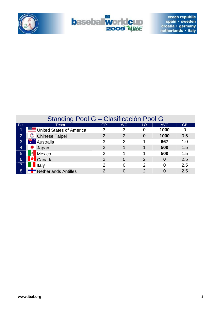



|                | Standing Pool G - Clasificación Pool G    |                |               |               |                  |           |  |  |  |  |  |  |
|----------------|-------------------------------------------|----------------|---------------|---------------|------------------|-----------|--|--|--|--|--|--|
| Pos            | Team                                      | GP             | <b>WO</b>     | LO            | AVG              | <b>GB</b> |  |  |  |  |  |  |
| 1              | United States of America                  | 3              | 3             |               | 1000             | 0         |  |  |  |  |  |  |
| $\overline{2}$ | ☺<br><b>Chinese Taipei</b>                | $\overline{2}$ | $\mathcal{P}$ | 0             | 1000             | 0.5       |  |  |  |  |  |  |
| 3              | ₹∵ Australia                              | 3              | $\mathcal{P}$ |               | 667              | 1.0       |  |  |  |  |  |  |
| $\overline{4}$ | Japan                                     | $\overline{2}$ |               |               | 500              | 1.5       |  |  |  |  |  |  |
| 5 <sup>5</sup> | $\left  \bullet \right $<br><b>Mexico</b> | 2              |               |               | 500              | 1.5       |  |  |  |  |  |  |
| 6              | <b>IV</b> Canada                          | $\overline{2}$ | $\Omega$      | $\mathcal{P}$ | $\boldsymbol{0}$ | 2.5       |  |  |  |  |  |  |
|                | <b>I</b> ltaly                            | 2              | $\Omega$      | 2             | 0                | 2.5       |  |  |  |  |  |  |
| 8              | Netherlands Antilles                      | 2              | $\Omega$      |               | 0                | 2.5       |  |  |  |  |  |  |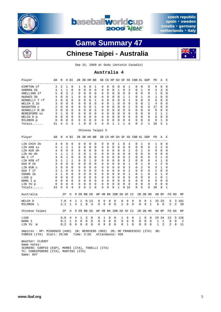



# **Game Summary 47**



### **Chinese Taipei - Australia**



Sep 15, 2009 at Godo (Antonio Casadio)

#### **Australia 4**

| Player                                                                                                     | AВ             |              | R H BI         |              |              |               | 2B 3B HR BB                |                         |                                                 |                  |             |                         |                 |                  |                         |                       | SB CS HP SH SF SO IBB KL GDP |                  |                |                                     | PO.          | A                      | Е           |                |         |
|------------------------------------------------------------------------------------------------------------|----------------|--------------|----------------|--------------|--------------|---------------|----------------------------|-------------------------|-------------------------------------------------|------------------|-------------|-------------------------|-----------------|------------------|-------------------------|-----------------------|------------------------------|------------------|----------------|-------------------------------------|--------------|------------------------|-------------|----------------|---------|
| ------------------<br>KIMPTON cf                                                                           | 3              | 2            | 1              | 0            |              | 1             | 0                          | 0                       | 1                                               | 0                |             | 0                       | 0               | 0                | 0                       | 1                     |                              | 0                | 0              | 0                                   | 0            | 0                      | 0           |                |         |
| HARMAN <sub>2b</sub>                                                                                       | 4              | 1            | $\mathbf{1}$   | $\Omega$     |              | $\Omega$      | $\Omega$                   | $\Omega$                | $\Omega$                                        | $\Omega$         |             | $\Omega$                | $\Omega$        | $\mathbf{1}$     | $\Omega$                | 3                     |                              | 0                | $\mathbf{1}$   | $\Omega$                            | 3            | 3                      | 0           |                |         |
| SNELLING 1f                                                                                                | 5              | $\Omega$     | 3              | 2            |              | $\Omega$      | $\Omega$                   | $\Omega$                | 0                                               | 0                |             | $\Omega$                | 0               | $\mathbf 0$      | $\Omega$                | $\Omega$              |                              | $\mathbf 0$      | $\Omega$       | 0                                   | 1            | $\Omega$               | 0           |                |         |
| HUGHES 3b                                                                                                  | 4              | $\Omega$     | $\Omega$       | $\mathbf{1}$ |              | 0             | $\Omega$                   | $\Omega$                | 0                                               | 0                |             | $\Omega$                | $\Omega$        | 0                | 1                       | 1                     |                              | 0                | 1              | 0                                   | 1            | 0                      | 0           |                |         |
| KENNELLY T rf                                                                                              | 4              | $\Omega$     | $\Omega$       | $\Omega$     |              | $\Omega$      | $\Omega$                   | 0                       | 1                                               | 0                |             | 0                       | $\overline{0}$  | $\mathbf 0$      | $\Omega$                | 1                     |                              | 0                | $\Omega$       | $\Omega$                            | 0            | 0                      | 0           |                |         |
| WELCH S 1b                                                                                                 | 3              | $\Omega$     | $\Omega$       | $\Omega$     |              | 0             | $\mathbf 0$                | $\mathbf 0$             | 0                                               | $\mathbf 0$      |             | $\mathbf 0$             | 1               | $\mathbf 0$      | $\Omega$                | $\mathbf 0$           |                              | 0                | 0              | 1                                   | 4            | 0                      | 0           |                |         |
| NAUGHTON C                                                                                                 | $\overline{2}$ | $\Omega$     | $\Omega$       | $\Omega$     |              | $\Omega$      | $\Omega$                   | $\Omega$                | 1                                               | $\Omega$         |             | $\Omega$                | $0 \quad 0$     |                  | $\Omega$                | $\overline{2}$        |                              | $\Omega$         | $\Omega$       | $\Omega$                            | 17           | $\Omega$               | $\Omega$    |                |         |
| KENNELLY M dh                                                                                              | 3              | $\Omega$     | $\Omega$       | $\Omega$     |              | $\Omega$      | $\Omega$                   | $\mathbf 0$             | $\mathbf 0$                                     | $\mathbf 0$      |             | $\Omega$                | $0\quad 0$      |                  | $\Omega$                | $\Omega$              |                              | 0                | $\Omega$       | 0                                   | $\mathbf 0$  | $\mathbf 0$            | 0           |                |         |
| BERESFORD SS                                                                                               | 3              | $\mathbf{1}$ | $\mathbf 0$    | $\Omega$     |              | $\Omega$      | $\mathbf 0$                | $\mathbf 0$             | 0                                               | $\mathbf 0$      |             | $\Omega$                | $0\quad 0$      |                  | $\Omega$                | $\Omega$              |                              | $\mathbf 0$      | $\Omega$       | 0                                   | 2            | 1                      | 1           |                |         |
| WELCH D p                                                                                                  | $\mathbf 0$    | $\mathbf 0$  | $\mathbf 0$    | $\Omega$     |              | 0             | $\mathbf 0$                | 0                       | 0                                               | $\mathbf 0$      |             | 0                       | $\mathbf{0}$    | $\mathbf 0$      | $\Omega$                | $\Omega$              |                              | 0                | 0              | 0                                   | $\mathbf 0$  | $\mathbf 0$            | 0           |                |         |
| MILDREN p                                                                                                  | $\overline{0}$ | $\mathbf 0$  | $\mathbf 0$    | $\mathbf 0$  |              | 0             | $\mathbf 0$                | 0                       | 0                                               | $\mathbf 0$      |             | 0                       | 0               | 0                | 0                       | $\mathbf 0$           |                              | 0                | 0              | 0                                   | 0            | 1                      | 0           |                |         |
| Totals                                                                                                     | 31             | 4            | 5              | 3            |              | 1             | 0                          | 0                       | 3                                               | 0                |             | $\mathbf 0$             | 1               | 1                | 1                       | 8                     |                              | 0                | 2              | 1                                   | 28           | 5                      | 1           |                |         |
|                                                                                                            |                |              |                |              |              |               |                            |                         | Chinese Taipei 5                                |                  |             |                         |                 |                  |                         |                       |                              |                  |                |                                     |              |                        |             |                |         |
| Player                                                                                                     | AВ             | R            |                | H BI         |              |               | 2B 3B HR BB                |                         |                                                 |                  |             |                         |                 |                  |                         |                       | SB CS HP SH SF SO IBB KL GDP |                  |                |                                     | PO.          | A                      | E           |                |         |
| -----------------                                                                                          |                | $-- -$       |                |              |              |               |                            |                         |                                                 |                  |             |                         |                 |                  |                         |                       |                              |                  |                |                                     |              |                        |             |                |         |
| LIN CHIH 3b                                                                                                | 4              | $\Omega$     | $\mathbf 0$    | 0            |              | 0             | $\mathbf 0$                | 0                       | 0                                               | $\mathbf 0$      |             | $\Omega$                | 0               | 1                | $\Omega$                | 3                     |                              | 0                | $\mathbf{1}$   | 0                                   | 1            | 0                      | 0           |                |         |
| LIN HAN SS                                                                                                 | 5              | $\mathbf{1}$ | 2              | $\mathbf{1}$ |              | $\mathbf 0$   | $\mathbf 0$                | $\mathbf 0$             | 0                                               | 0                |             | 0                       | $\mathbf 0$     | 0                | 0                       | $\mathbf 0$           |                              | 0                | 0              | 0                                   | 3            | 2                      | 0           |                |         |
| LIN KUO dh                                                                                                 | 4              | $\circ$      | $\overline{0}$ | $\mathbf 0$  |              | 0             | $\overline{0}$             | 0                       | 0                                               | 0                |             | $\mathbf 0$             | $0\quad 0$      |                  | $\mathbf 0$             | 2                     |                              | 0                | 1              | 0                                   | 0            | $\mathbf 0$            | 0           |                |         |
| LIN HU dh                                                                                                  | $\mathbf{1}$   | 1            | $\mathbf{1}$   | 2            |              | 0             | 0                          | 1                       | 0                                               | 0                |             | $\mathbf 0$             | $0\quad 0$      |                  | $\mathbf 0$             | $\overline{0}$        |                              | 0                | 0              | 0                                   | 0            | 0                      | 0           |                |         |
| WU C rf                                                                                                    | 4<br>3         | 0<br>1       | 1<br>1         | 0<br>1       |              | 0<br>$\Omega$ | $\mathbf 0$<br>$\mathbf 0$ | $\mathbf 0$<br>1        | 0<br>0                                          | 0<br>$\mathbf 0$ |             | $\mathbf 0$<br>$\Omega$ | 0<br>0          | 0<br>$\mathbf 0$ | $\mathbf 0$<br>$\Omega$ | 2<br>2                |                              | 0<br>$\mathbf 0$ | 0<br>$\Omega$  | 0<br>0                              | 3<br>4       | 1<br>1                 | 0           |                |         |
| LIN KEN cf<br>KUO M 2b                                                                                     | 3              | $\Omega$     | $\mathbf 0$    | $\Omega$     |              | $\mathbf 0$   | $\mathbf 0$                | $\mathbf 0$             | 0                                               | $\mathbf 0$      |             | $\Omega$                | $\overline{0}$  | $\mathbf 0$      | $\Omega$                | $\mathbf{1}$          |                              | $\mathbf 0$      | $\mathbf{1}$   | 0                                   | $\mathbf{1}$ | 2                      | 0<br>0      |                |         |
|                                                                                                            |                | $\Omega$     | $\Omega$       | $\Omega$     |              | $\Omega$      | $\Omega$                   |                         | $\mathbf 0$                                     | $\mathbf 0$      |             | $\Omega$                | $\mathbf 0$     | $\mathbf 0$      | $\Omega$                | 3                     |                              | $\mathbf 0$      | $\overline{a}$ | $\mathbf 0$                         | 9            | $\mathbf{1}$           |             |                |         |
| LIN KUN C                                                                                                  | 3<br>3         | 1            | $\mathbf 0$    | $\Omega$     |              | 0             | $\Omega$                   | $\mathbf 0$<br>0        | 0                                               | $\mathbf 0$      |             | 0                       | 0               | $\mathbf 0$      | $\Omega$                | 2                     |                              | $\mathbf 0$      | 0              | 0                                   | 2            | $\mathbf 0$            | 0<br>0      |                |         |
| KUO T lf<br>CHANG 1b                                                                                       | 3              | $\mathbf{1}$ | $\mathbf 0$    | $\Omega$     |              | $\mathbf 0$   | $\mathbf 0$                | $\mathbf 0$             | 0                                               | $\mathbf 0$      |             | $\mathbf 0$             | $\mathbf 0$     | $\mathbf 0$      | $\Omega$                | $\mathbf{1}$          |                              | 0                | $\mathbf{1}$   | 0                                   | 6            | 1                      | 0           |                |         |
|                                                                                                            | $\mathbf 0$    | $\mathbf{0}$ | 0              | 0            |              | 0             | $\mathbf 0$                | $\mathbf 0$             | 0                                               | 0                |             | $\mathbf 0$             | $0\quad 0$      |                  | $\mathbf 0$             | $\overline{0}$        |                              | $\mathbf 0$      | 0              | 0                                   | $\mathbf{1}$ | $\mathbf 0$            | 1           |                |         |
| LIAO p                                                                                                     | $\mathbf 0$    | $\mathbf 0$  | $\mathbf 0$    | $\mathbf 0$  |              | $\mathbf 0$   | $\mathbf 0$                | 0                       | 0                                               | $\mathbf 0$      |             | $\mathbf 0$             | $\mathbf 0$     | $\mathbf 0$      | $\Omega$                | $\Omega$              |                              | 0                | $\Omega$       | 0                                   | $\mathbf 0$  | $\mathbf 0$            | 0           |                |         |
| WANG I p                                                                                                   | 0              | 0            | $\mathbf 0$    | 0            |              | 0             | $\mathbf 0$                | 0                       | 0                                               | $\mathbf 0$      |             | 0                       | 0               | 0                | 0                       | $\mathbf 0$           |                              | 0                | 0              | 0                                   | 0            | 0                      | 0           |                |         |
| LIN YU p                                                                                                   | 33             | 5            | 5              | 4            |              | 0             | 0                          | 2                       | 0                                               | $\Omega$         |             | $\Omega$                | $\Omega$        | 1                | 0                       | 16                    |                              | 0                | 6              | 0                                   | 30           | 8                      | 1           |                |         |
| $Totals$                                                                                                   |                |              |                |              |              |               |                            |                         |                                                 |                  |             |                         |                 |                  |                         |                       |                              |                  |                |                                     |              |                        |             |                |         |
| Australia<br>--------------------------                                                                    |                |              | IP             | $- - -$      |              |               |                            |                         | H R ER BB SO WP HB BK IBB SH SF CI<br>--------- |                  |             |                         | $- - -$         |                  |                         |                       | -------                      |                  |                | 2B 3B HR<br>-------                 |              | AB BF                  | --------    | FO GO          | ΝP      |
| WELCH D                                                                                                    |                | 7.0          |                | 4            | 1            | 1             |                            | 013                     |                                                 | 0                | 0           | 0                       | 0               |                  | 0                       | 0                     | 0                            | 0                | 0              | 1                                   |              | 25 25                  | 5           |                | 3 101   |
| MILDREN L                                                                                                  |                | 2.1          |                | 1            | 4            | $\mathbf{1}$  | $\mathbf{0}$               | $\overline{\mathbf{3}}$ |                                                 | 0                | 0           | $\mathbf 0$             | 0               |                  | 1                       | $\mathbf 0$           | $\mathbf 0$                  | 0                | $\mathbf 0$    | $\mathbf{1}$                        | 8            | - 9                    | 2           | $\overline{2}$ | 30      |
| Chinese Taipei                                                                                             |                |              | IP             |              |              |               | H R ER BB SO               |                         |                                                 |                  |             |                         |                 |                  |                         | WP HB BK IBB SH SF CI |                              |                  |                | 2B 3B HR                            |              | AB BF                  |             | FO GO          | ΝP      |
| LIAO                                                                                                       |                | 9.0          |                | 4            | 4            | $\mathbf{1}$  | 3                          | 8                       | ----                                            | 0                | 1           | 0                       | --------<br>0   |                  | 1                       | $\mathbf 0$           | $\mathbf 0$                  | 1                | $\mathbf 0$    | ____________________<br>$\mathbf 0$ |              | $- - - - - -$<br>29 34 | 12          |                | 5 1 2 6 |
| WANG I                                                                                                     |                | 0.1          |                | 1            | 0            | 0             | 0                          | 0                       |                                                 | 0                | 0           | 0                       | 0               |                  | 0                       | $\mathbf 0$           | 0                            | 0                | $\mathbf 0$    | 0                                   | 1            | 1                      | $\mathbf 0$ | 0              | 2       |
| LIN YU<br>W                                                                                                |                | 0.2          |                | $\Omega$     | $\mathbf{0}$ | $\mathbf 0$   | 0                          | 0                       |                                                 | $\mathbf{0}$     | $\mathbf 0$ | 0                       | $\mathbf 0$     |                  | $\mathbf 0$             | $\mathbf{1}$          | 0                            | $\mathbf 0$      | $\mathbf 0$    | $\mathbf 0$                         | $\mathbf 1$  | 2                      | 2           | 0              | 11      |
| Umpires - HP: MIGDONIO (AHO) 1B: BERKVENS (NED)<br>FABRIN (ITA) Start: 20:00 Time: 2:55<br>Weather: CLOUDY |                |              |                |              |              |               |                            |                         |                                                 |                  |             |                         | Attendance: 450 |                  |                         |                       | 2B: DE FRANCESCHI (ITA)      |                  |                |                                     | 3B:          |                        |             |                |         |

 Game notes: SCORERS: CARPIO (ESP), MORRI (ITA), TONELLI (ITA) TC: CONDIPODERO (ITA), MARTINI (ITA) Game: 047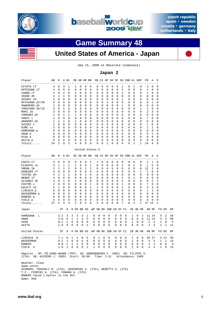



## **Game Summary 48**



### **United States of America - Japan**

Sep 15, 2009 at Macerata (Comunale)

#### **Japan 2**

| Player                                         | AВ             | R                   |                | H BI                |              |             | 2B 3B HR BB  |                                          |                       |             |             |             |             |                | SB CS HP SH SF SO IBB KL GDP |             |             |                   | PO.            | Α            | E           |              |                |
|------------------------------------------------|----------------|---------------------|----------------|---------------------|--------------|-------------|--------------|------------------------------------------|-----------------------|-------------|-------------|-------------|-------------|----------------|------------------------------|-------------|-------------|-------------------|----------------|--------------|-------------|--------------|----------------|
| KIYOTA cf                                      | 4              | 0                   | 3              | 1                   | 1            | 0           | 0            | 0                                        | 0                     | 0           | 0           | 0           | 0           | 1              | 0                            | 1           |             | 0                 | 3              | $\mathbf 0$  | 0           |              |                |
| KOTEGAWA 1f                                    | 4              | 0                   | $\mathbf 0$    | $\Omega$            | 0            | $\mathbf 0$ | 0            | $\mathbf 0$                              | 0                     | $\Omega$    | 0           | 0           | $\Omega$    | 2              | 0                            | 0           |             | 0                 | 1              | $\Omega$     | 0           |              |                |
| CHONO rf                                       | 4              | 0                   | $\overline{2}$ | 0                   | 1            | $\mathbf 0$ | 0            | $\mathbf 0$                              | 0                     | 0           | 0           | 0           | 0           | $\mathbf{1}$   | 0                            | 0           |             | 0                 | $\mathbf{1}$   | 0            | 0           |              |                |
| IKEBE dh                                       | 4              | $\mathbf{1}$        | 1              | 0                   | 0            | $\mathsf 0$ | 0            | 0                                        | 0                     | 0           | 0           | 0           | $\mathsf 0$ | $\mathsf 0$    | 0                            | 0           |             | 0                 | 0              | 0            | 0           |              |                |
| SASAKI 1b                                      | $\overline{2}$ | $\Omega$            | $\Omega$       | $\Omega$            | $\Omega$     | $\Omega$    | $\Omega$     | 0                                        | $\Omega$              | $\Omega$    | 0           | $\Omega$    | $\Omega$    | $\mathbf{1}$   | 0                            | $\Omega$    |             | 0                 | 6              | $\Omega$     | $\Omega$    |              |                |
| MIYAZAWA ph/3b                                 | 0              | 0                   | 0              | $\Omega$            | 0            | 0           | 0            | 0                                        | 0                     | $\Omega$    | 1           | 0           | $\Omega$    | 0              | 0                            | 0           |             | 0                 | 0              | 1            | 0           |              |                |
| SAWAMURA ph                                    | 1              | 0                   | $\mathbf 0$    | 0                   | 0            | $\mathbf 0$ | 0            | $\mathbf 0$                              | 0                     | $\mathbf 0$ | $\mathbf 0$ | 0           | 0           | $\mathbf{1}$   | 0                            | 0           |             | 0                 | 0              | $\mathbf 0$  | 0           |              |                |
| YOKOYAMA 3b/1b                                 | 4              | 0                   | 1              | 0                   | 0            | $\mathbf 0$ | 0            | $\mathbf 0$                              | $\mathbf 0$           | $\mathbf 0$ | $\mathbf 0$ | 0           | $\mathbf 0$ | $\mathbf 0$    | 0                            | 0           |             | 1                 | $\overline{a}$ | $\mathbf 0$  | 0           |              |                |
| MORI 2b                                        | 3              | 0                   | 0              | 0                   | 0            | 0           | 0            | 0                                        | 0                     | 0           | 0           | 0           | 0           | 0              | 0                            | 0           |             | 0                 | $\overline{a}$ | 3            | 0           |              |                |
| YAMAOKA ph                                     | 1              | 0                   | $\mathbf{1}$   | 1                   | 1            | $\mathbf 0$ | $\mathbf 0$  | $\mathsf 0$                              | $\mathsf 0$           | $\mathbf 0$ | 0           | $\mathbf 0$ | $\mathbf 0$ | $\mathbf 0$    | 0                            | 0           |             | 0                 | 0              | $\mathbf 0$  | 0           |              |                |
| SAEKI C                                        | $\overline{2}$ | $\Omega$            | $\Omega$       | $\Omega$            | $\Omega$     | $\Omega$    | $\Omega$     | $\Omega$                                 | $\Omega$              | $\Omega$    | $\Omega$    | $\Omega$    | $\Omega$    | $\Omega$       | $\Omega$                     | $\Omega$    |             | $\Omega$          | 7              | $\Omega$     | $\Omega$    |              |                |
| ARANAMI ph                                     | 1              | 1                   | 1              | 0                   | 1            | 0           | 0            | 0                                        | 0                     | 0           | 0           | 0           | 0           | 0              | 0                            | 0           |             | 0                 | 0              | 0            | 0           |              |                |
| SUZUKI C                                       | $\mathbf{1}$   | $\mathbf 0$         | $\mathbf 0$    | 0                   | 0            | $\mathbf 0$ | $\mathbf 0$  | $\mathbf 0$                              | $\mathbf 0$           | $\mathbf 0$ | $\mathbf 0$ | $\mathbf 0$ | $\mathbf 0$ | $\mathbf 0$    | 0                            | $\mathbf 0$ |             | 0                 | $\mathbf{1}$   | $\mathbf 0$  | 0           |              |                |
| KUME SS                                        | 3              | $\mathbf 0$         | $\Omega$       | $\Omega$            | $\Omega$     | $\mathbf 0$ | 0            | $\mathbf 0$                              | $\mathbf 0$           | $\Omega$    | $\mathbf 0$ | $\mathbf 0$ | $\Omega$    | $\Omega$       | 0                            | $\Omega$    |             | 0                 | $\mathbf{1}$   | 1            | 0           |              |                |
| KAMEGAWA p                                     | 0              | 0                   | 0              | 0                   | 0            | 0           | 0            | 0                                        | 0                     | 0           | 0           | 0           | 0           | 0              | 0                            | 0           |             | 0                 | 0              | 0            | 0           |              |                |
| ANAN p                                         | 0              | 0                   | 0              | 0                   | 0            | 0           | $\mathbf 0$  | 0                                        | $\mathsf 0$           | $\mathsf 0$ | 0           | $\mathbf 0$ | $\mathbf 0$ | $\mathbf 0$    | $\mathsf 0$                  |             | 0           | 0                 | $\mathsf 0$    | 1            | 0           |              |                |
| HIGA p                                         | $\Omega$       | $\Omega$            | $\Omega$       | $\Omega$            | $\Omega$     | $\Omega$    | $\mathbf 0$  | $\mathbf 0$                              | $\Omega$              | $\Omega$    | $\mathbf 0$ | $\Omega$    | $\Omega$    | $\Omega$       | 0                            | $\Omega$    |             | $\Omega$          | $\Omega$       | $\Omega$     | $\Omega$    |              |                |
| SAITO p                                        | 0              | 0                   | 0              | 0                   | 0            | 0           | $\mathbf 0$  | 0                                        | 0                     | 0           | 0           | 0           | 0           | 0              | 0                            | 0           |             | 0                 | 0              | $\mathbf 0$  | 0           |              |                |
| Totals                                         | 34             | $\overline{a}$      | 9              | $\overline{2}$      | 4            | 0           | 0            | $\mathbf 0$                              | 0                     | 0           | 1           | 0           | 0           | 6              | 0                            |             | 1           | $\mathbf{1}$      | 24             | 6            | 0           |              |                |
|                                                |                |                     |                |                     |              |             |              |                                          |                       |             |             |             |             |                |                              |             |             |                   |                |              |             |              |                |
|                                                |                |                     |                |                     |              |             |              | United States 4                          |                       |             |             |             |             |                |                              |             |             |                   |                |              |             |              |                |
| Player                                         | AB             | R                   |                | H BI                |              |             |              | 2B 3B HR BB SB CS HP SH SF SO IBB KL GDP |                       |             |             |             |             |                |                              |             |             |                   | PO.            | $\mathsf{A}$ | E           |              |                |
| COATS cf                                       | 3              | 0                   | 0              | 0                   | 0            | 0           | 0            | 1                                        | 1                     | 0           | 0           | 0           | 0           | 0              | 0                            | 0           |             | 0                 | 1              | 1            | 0           |              |                |
| PLOUFFE SS                                     | 3              | $\mathbf{1}$        | $\mathbf 1$    | 1                   | 1            | $\Omega$    | 0            | $\mathbf 1$                              | 0                     | $\Omega$    | 0           | $\Omega$    | $\Omega$    | 1              | 0                            | 1           |             | $\mathsf 0$       | $\mathbf 1$    | 5            | 0           |              |                |
| SMOAK 1b                                       | 2              | 1                   | 1              | 2                   | 0            | 0           | 1            | 2                                        | 0                     | 0           | 0           | 0           | 0           | $\mathbf 0$    | 0                            | 0           |             | 0                 | 12             | 2            | 0           |              |                |
| KROEGER rf                                     | 4              | $\mathbf 0$         | 0              | $\mathbf 0$         | 0            | $\mathsf 0$ | $\mathbf 0$  | $\mathsf 0$                              | $\mathsf 0$           | $\mathbf 0$ | 0           | $\mathbf 0$ | $\mathbf 0$ | $\mathsf 0$    | 0                            | $\mathbf 0$ |             | $\mathbf{1}$      | 2              | 0            | 0           |              |                |
| TIFFEE dh                                      | 4              | $\mathbf{1}$        | 1              | 1                   | 0            | $\mathbf 0$ | $\mathbf{1}$ | $\mathbf 0$                              | $\mathbf 0$           | $\mathbf 0$ | $\mathbf 0$ | $\mathbf 0$ | $\mathbf 0$ | $\mathbf 0$    | 0                            | 0           |             | 0                 | 0              | $\mathbf 0$  | 0           |              |                |
| WEBER 1f                                       | 4              | $\Omega$            | $\Omega$       | $\Omega$            | $\Omega$     | $\Omega$    | $\Omega$     | 0                                        | $\Omega$              | $\Omega$    | 0           | 0           | $\Omega$    | $\overline{a}$ | 0                            |             | 1           | 0                 | 0              | $\Omega$     | 0           |              |                |
| ALVAREZ 3b                                     | 3              | 0                   | 1              | 0                   | 1            | $\mathbf 0$ | 0            | $\mathbf 0$                              | 0                     | $\mathbf 0$ | $\mathbf 0$ | $\mathbf 0$ | $\mathbf 0$ | $\overline{a}$ | $\mathbf 0$                  | 0           |             | 0                 | 0              | 2            | 1           |              |                |
| CASTRO c                                       | 2              | 0                   | 0              | 0                   | 0            | 0           | $\mathbf 0$  | $\mathbf{1}$                             | $\mathsf 0$           | $\mathsf 0$ | 0           | $\mathsf 0$ | $\mathbf 0$ | $\mathbf 1$    | 0                            |             | 0           | 0                 | 7              | $\mathsf 0$  | 0           |              |                |
| HULETT 2b                                      | $\overline{2}$ | 1                   | 0              | 0                   | $\Omega$     | $\mathbf 0$ | $\mathbf 0$  | $\mathbf{1}$                             | $\mathbf{1}$          | $\Omega$    | 0           | 0           | 0           | 1              | 0                            | 0           |             | 0                 | 3              | 4            | 0           |              |                |
| LINCOLN p                                      | 0              | 0                   | 0              | $\Omega$            | 0            | 0           | 0            | 0                                        | 0                     | 0           | 0           | 0           | $\mathbf 0$ | 0              | 0                            | 0           |             | 0                 | 1              | 1            | 0           |              |                |
| WASSERMAN p                                    | 0              | 0                   | $\mathbf 0$    | 0                   | 0            | $\mathbf 0$ | 0            | 0                                        | $\mathsf 0$           | $\mathbf 0$ | 0           | $\mathsf 0$ | $\mathbf 0$ | $\mathbf 0$    | 0                            | $\mathbf 0$ |             | 0                 | 0              | 0            | 0           |              |                |
| BOWERS p                                       | 0              | 0                   | $\mathbf 0$    | $\mathbf 0$         | $\mathbf 0$  | $\mathsf 0$ | 0            | $\mathsf 0$                              | 0                     | 0           | 0           | 0           | $\mathbf 0$ | $\mathbf 0$    | 0                            | 0           |             | 0                 | 0              | $\mathbf 0$  | 0           |              |                |
| FIELD p                                        | 0<br>27        | 0<br>$\overline{4}$ | 0<br>4         | 0<br>$\overline{4}$ | 0<br>2       | 0<br>0      | 0<br>2       | 0<br>6                                   | 0<br>2                | 0<br>0      | 0<br>0      | 0<br>0      | 0<br>0      | 0<br>7         | 0<br>0                       | 0<br>2      |             | 0<br>$\mathbf{1}$ | 0<br>27 15     | 0            | 0<br>1      |              |                |
| Totals                                         |                |                     |                |                     |              |             |              |                                          |                       |             |             |             |             |                |                              |             |             |                   |                |              |             |              |                |
| Japan<br>----------------------                |                |                     | ΙP             |                     | H R ER BB SO |             |              |                                          | WP HB BK IBB SH SF CI |             |             |             |             |                |                              |             |             | 2B 3B HR          | AB BF          |              |             | FO GO        | ΝP             |
| KAMEGAWA<br>$-L$                               |                | 2.2                 |                | 3                   | 3            | 3           | 3            | 1                                        | 0<br>0                | $\Omega$    | $\Omega$    |             | 0           | 0              | $\Omega$                     | 1           | $\Omega$    | 2                 |                | 11 14        | 5           | 2            | 58             |
| ANAN                                           |                | 4.0                 |                | 0                   | 1            | 1           | 3            | 5                                        | 0<br>0                | 0           | 0           |             | 0           | 0              | 0                            | $\mathbf 0$ | $\mathbf 0$ | 0                 |                | 11 14        | 3           | 3            | 60             |
| HIGA                                           |                | 0.1                 |                | 1                   | $\mathsf 0$  | $\mathsf 0$ | $\mathsf 0$  | 0                                        | 0<br>0                | 0           | 0           |             | 0           | 0              | 0                            | 1           | 0           | $\mathsf 0$       | 2              | 2            | 1           | 0            | 5              |
| SAITO                                          |                | 1.0                 |                | 0                   | $\mathbf 0$  | 0           | 0            | 1                                        | 0<br>0                | 0           | 0           |             | 0           | 0              | $\mathbf 0$                  | 0           | 0           | 0                 | 3              | 3            | 1           | $\mathbf{1}$ | 11             |
| United States<br>----------------------------- |                |                     | IP             | Η                   | R ER BB SO   |             |              |                                          | WP HB BK IBB SH SF CI |             |             |             |             |                |                              |             |             | 2B 3B HR          |                | AB BF        |             | FO GO        | NP<br>$=$ $-$  |
| LINCOLN<br>W                                   |                | 7.1                 |                | 6                   | 1            | 1           | 0            | 5                                        | 0<br>1                | 0           | 0           |             | 0           | 0              | 0                            | 2           | 0           | 0                 |                | 26 27        |             | 3 12         | 93             |
| WASSERMAN                                      |                | 0.2                 |                | 1                   | $\mathbf 0$  | $\mathbf 0$ | 0            | 0                                        | 0<br>0                | 0           | 0           |             | 0           | 0              | 0                            | 1           | $\mathbf 0$ | 0                 | 3              | 3            | 1           | 1            | 13             |
| <b>BOWERS</b>                                  |                | 0.0                 |                | $\mathbf{1}$        | $\mathbf{1}$ | 1           | 0            | 0                                        | 0<br>0                | 0           | 0           |             | 0           | $\mathbf 0$    | 0                            | $\mathbf 0$ | $\mathbf 0$ | $\mathbf 0$       | $\mathbf{1}$   | $\mathbf{1}$ | $\mathbf 0$ | $\mathbf 0$  | $\overline{4}$ |
| FIELD S                                        |                | 1.0                 |                | 1                   | 0            | 0           | 0            | 1                                        | 1<br>0                | 0           | 0           |             | 0           | 0              | 0                            | 1           | 0           | 0                 | 4              | 4            | 2           | 0            | 15             |

 Umpires - HP: PO-SUNG-HUANG (TPE) 1B: GROENEWEGEN F. (NED) 2B: FILIPPI S. (ITA) 3B: KUIPERS J. (NED) Start: 20:00 Time: 2:41 Attendance: 1900

 Weather: Clear Game notes: SCORERS: TRAVAGLI M. (ITA), GASPARINI A. (ITA), BEDETTI G. (ITA) T.C.: FIORINI A. (ITA), FANARA A. (ITA) BOWERS faced 1 batter in the 9th. Game: 048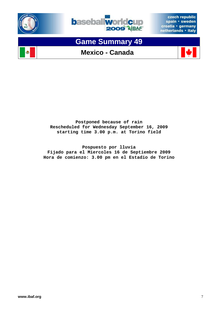





# **Game Summary 49**







**Postponed because of rain Rescheduled for Wednesday September 16, 2009 starting time 3.00 p.m. at Torino field** 

**Pospuesto por lluvia Fijado para el Miercoles 16 de Septiembre 2009 Hora de comienzo: 3.00 pm en el Estadio de Torino**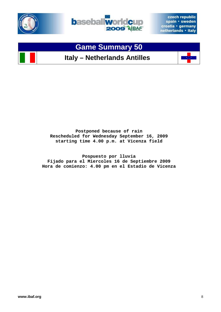





**Postponed because of rain Rescheduled for Wednesday September 16, 2009 starting time 4.00 p.m. at Vicenza field** 

**Pospuesto por lluvia Fijado para el Miercoles 16 de Septiembre 2009 Hora de comienzo: 4.00 pm en el Estadio de Vicenza**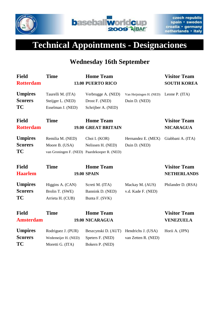



# **Technical Appointments - Designaciones**

### **Wednesday 16th September**

| <b>Field</b><br><b>Rotterdam</b>              | <b>Time</b>                                                                        | <b>Home Team</b><br><b>13.00 PUERTO RICO</b>               |                                          | <b>Visitor Team</b><br><b>SOUTH KOREA</b> |
|-----------------------------------------------|------------------------------------------------------------------------------------|------------------------------------------------------------|------------------------------------------|-------------------------------------------|
| <b>Umpires</b><br><b>Scorers</b><br><b>TC</b> | Taurelli M. (ITA)<br>Steijger L. (NED)<br>Esselman J. (NED)                        | Verbrugge A. (NED)<br>Drost F. (NED)<br>Schrijber A. (NED) | Van Heijningen H. (NED)<br>Duin D. (NED) | Leone P. (ITA)                            |
| <b>Field</b><br><b>Rotterdam</b>              | <b>Time</b>                                                                        | <b>Home Team</b><br><b>19.00 GREAT BRITAIN</b>             |                                          | <b>Visitor Team</b><br><b>NICARAGUA</b>   |
| <b>Umpires</b><br><b>Scorers</b><br><b>TC</b> | Remilia M. (NED)<br>Moore B. (USA)<br>van Groningen F. (NED) Paardekooper R. (NED) | Choi I. (KOR)<br>Nelissen H. (NED)                         | Hernandez E. (MEX)<br>Duin D. (NED)      | Giabbani A. (ITA)                         |
| <b>Field</b>                                  | <b>Time</b>                                                                        | <b>Home Team</b>                                           |                                          | <b>Visitor Team</b>                       |
| <b>Haarlem</b>                                |                                                                                    | <b>19.00 SPAIN</b>                                         |                                          | <b>NETHERLANDS</b>                        |
| <b>Umpires</b><br><b>Scorers</b><br>TC        | Higgins A. (CAN)<br>Brolin T. (SWE)<br>Arrieta H. (CUB)                            | Screti M. (ITA)<br>Bannink D. (NED)<br>Bunta F. (SVK)      | Mackay M. (AUS)<br>v.d. Kade F. (NED)    | Philander D. (RSA)                        |
| <b>Field</b><br><b>Amsterdam</b>              | <b>Time</b>                                                                        | <b>Home Team</b><br><b>19.00 NICARAGUA</b>                 |                                          | <b>Visitor Team</b><br><b>VENEZUELA</b>   |